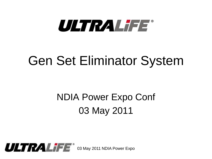

# Gen Set Eliminator System

# NDIA Power Expo Conf 03 May 2011

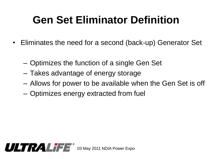## **Gen Set Eliminator Definition**

- Eliminates the need for a second (back-up) Generator Set
	- Optimizes the function of a single Gen Set
	- Takes advantage of energy storage
	- Allows for power to be available when the Gen Set is off
	- Optimizes energy extracted from fuel

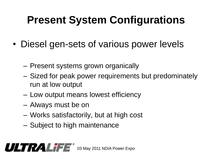# **Present System Configurations**

- Diesel gen-sets of various power levels
	- Present systems grown organically
	- Sized for peak power requirements but predominately run at low output
	- Low output means lowest efficiency
	- Always must be on
	- Works satisfactorily, but at high cost
	- Subject to high maintenance

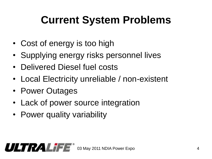# **Current System Problems**

- Cost of energy is too high
- Supplying energy risks personnel lives
- Delivered Diesel fuel costs
- Local Electricity unreliable / non-existent
- Power Outages
- Lack of power source integration
- Power quality variability

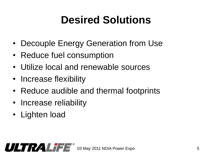## **Desired Solutions**

- Decouple Energy Generation from Use
- Reduce fuel consumption
- Utilize local and renewable sources
- Increase flexibility
- Reduce audible and thermal footprints
- Increase reliability
- Lighten load

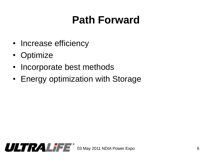# **Path Forward**

- Increase efficiency
- Optimize
- Incorporate best methods
- Energy optimization with Storage

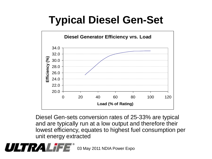# **Typical Diesel Gen-Set**



Diesel Gen-sets conversion rates of 25-33% are typical and are typically run at a low output and therefore their lowest efficiency, equates to highest fuel consumption per unit energy extracted

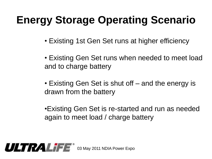## **Energy Storage Operating Scenario**

- Existing 1st Gen Set runs at higher efficiency
- Existing Gen Set runs when needed to meet load and to charge battery
- Existing Gen Set is shut off and the energy is drawn from the battery
- •Existing Gen Set is re-started and run as needed again to meet load / charge battery

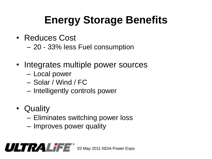# **Energy Storage Benefits**

- Reduces Cost
	- 20 33% less Fuel consumption
- Integrates multiple power sources
	- Local power
	- Solar / Wind / FC
	- Intelligently controls power
- Quality
	- Eliminates switching power loss
	- Improves power quality

#### $ULTRALI F E<sup>o</sup>$  03 May 2011 NDIA Power Expo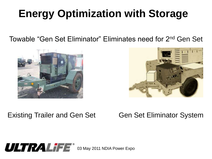## **Energy Optimization with Storage**

Towable "Gen Set Eliminator" Eliminates need for 2nd Gen Set





#### Existing Trailer and Gen Set Gen Set Eliminator System

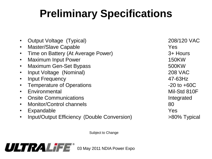# **Preliminary Specifications**

- Output Voltage (Typical) 208/120 VAC
- Master/Slave Capable **Yes**
- Time on Battery (At Average Power) 3+ Hours
- Maximum Input Power 150KW
- Maximum Gen-Set Bypass 500KW
- Input Voltage (Nominal) 208 VAC
- Input Frequency **47-63Hz**
- Temperature of Operations **CONFERGIAL CONTENT** -20 to +60C
- Fnyironmental Mil-Std 810F
- Onsite Communications **Integrated**
- Monitor/Control channels 80
- Expandable Yes
- Input/Output Efficiency (Double Conversion)  $>80\%$  Typical

Subject to Change

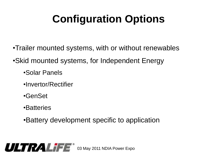# **Configuration Options**

- •Trailer mounted systems, with or without renewables
- •Skid mounted systems, for Independent Energy
	- •Solar Panels
	- •Invertor/Rectifier
	- •GenSet
	- •Batteries
	- •Battery development specific to application

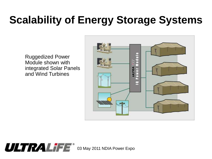### **Scalability of Energy Storage Systems**

Ruggedized Power Module shown with integrated Solar Panels and Wind Turbines



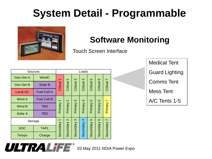#### **System Detail - Programmable**



#### **Software Monitoring**

Touch Screen Interface

| <b>Sources</b>   |                    | Loads                               |                               |             |             |               |                     |                            |  |
|------------------|--------------------|-------------------------------------|-------------------------------|-------------|-------------|---------------|---------------------|----------------------------|--|
| <b>Gen-Set A</b> | <b>WindC</b>       | $\overline{\mathbb{Z}}$<br>Critical | $\mathbf{\Omega}$<br>Critical | Critical 3  | Critical 4  | 5<br>Critical | $\circ$<br>Critical | $\overline{ }$<br>Critical |  |
| <b>Gen-Set B</b> | Solar B            |                                     |                               |             |             |               |                     |                            |  |
| <b>Local AC</b>  | <b>Fuel Cell A</b> |                                     |                               |             |             |               |                     |                            |  |
| Wind A           | <b>Fuel Cell B</b> | Primary 1                           | $\mathbf{\Omega}$<br>Primary  | Primary 3   | Primary 4   | Ю<br>Primary  | $\circ$<br>Primary  | $\mathbf{r}$<br>Primary    |  |
| Wind B           | <b>TBD</b>         |                                     |                               |             |             |               |                     |                            |  |
| Solar A          | <b>TBD</b>         |                                     |                               |             |             |               |                     |                            |  |
| Storage          |                    |                                     | $\mathbf{\Omega}$             |             |             | $\sigma$      | $\circ$             |                            |  |
| <b>SOC</b>       | <b>TAPL</b>        | Secondary 1                         | Secondary                     | Secondary 3 | Secondary 4 | Secondary     | Secondary           | Secondary 7                |  |
| <b>Temps</b>     | Charge             |                                     |                               |             |             |               |                     |                            |  |

Medical Tent Guard Lighting Comms Tent Mess Tent A/C Tents 1-5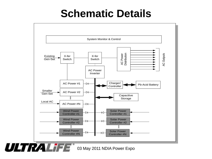#### **Schematic Details**

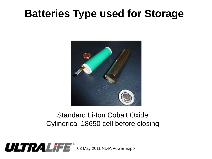#### **Batteries Type used for Storage**



#### Standard Li-Ion Cobalt Oxide Cylindrical 18650 cell before closing

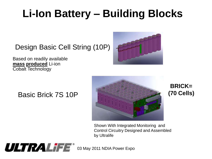# **Li-Ion Battery – Building Blocks**

Design Basic Cell String (10P)



Based on readily available **mass produced** Li-ion Cobalt Technology

#### Basic Brick 7S 10P



**BRICK= (70 Cells)**

Shown With Integrated Monitoring and Control Circuitry Designed and Assembled by Ultralife

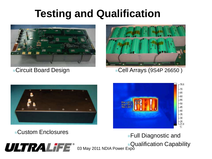#### **Testing and Qualification**



Circuit Board Design



Cell Arrays (9S4P 26650 )





Full Diagnostic and

Qualification Capability

 $ULTRALIFE^*$  03 May 2011 NDIA Power Expo

Custom Enclosures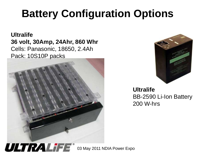### **Battery Configuration Options**

**Ultralife 36 volt, 30Amp, 24Ahr, 860 Whr** Cells: Panasonic, 18650, 2.4Ah Pack: 10S10P packs





**Ultralife** BB-2590 Li-Ion Battery 200 W-hrs

 $ULTRALI F<sup>o</sup>$  03 May 2011 NDIA Power Expo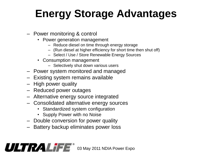# **Energy Storage Advantages**

- Power monitoring & control
	- Power generation management
		- Reduce diesel on time through energy storage
		- (Run diesel at higher efficiency for short time then shut off)
		- Select / Use / Store Renewable Energy Sources
	- Consumption management
		- Selectively shut down various users
- Power system monitored and managed
- Existing system remains available
- High power quality
- Reduced power outages
- Alternative energy source integrated
- Consolidated alternative energy sources
	- Standardized system configuration
	- Supply Power with no Noise
- Double conversion for power quality
- Battery backup eliminates power loss

#### $\overline{ULT}$  $\overline{R}/\overline{A}$  $\overline{L}$  $\overline{T}$  $\overline{E}^*$  03 May 2011 NDIA Power Expo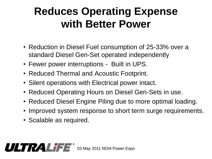#### **Reduces Operating Expense with Better Power**

- Reduction in Diesel Fuel consumption of 25-33% over a standard Diesel Gen-Set operated independently
- Fewer power interruptions Built in UPS.
- Reduced Thermal and Acoustic Footprint.
- Silent operations with Electrical power intact.
- Reduced Operating Hours on Diesel Gen-Sets in use.
- Reduced Diesel Engine Piling due to more optimal loading.
- Improved system response to short term surge requirements.
- Scalable as required.

**ULTRALIFE** 03 May 2011 NDIA Power Expo